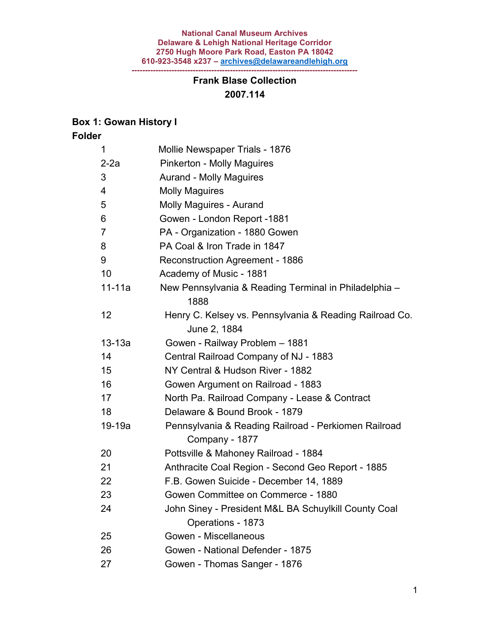## **Frank Blase Collection 2007.114**

## **Box 1: Gowan History I**

| 1          | Mollie Newspaper Trials - 1876                                          |
|------------|-------------------------------------------------------------------------|
| $2-2a$     | <b>Pinkerton - Molly Maguires</b>                                       |
| 3          | <b>Aurand - Molly Maguires</b>                                          |
| 4          | <b>Molly Maguires</b>                                                   |
| 5          | <b>Molly Maguires - Aurand</b>                                          |
| 6          | Gowen - London Report -1881                                             |
| 7          | PA - Organization - 1880 Gowen                                          |
| 8          | PA Coal & Iron Trade in 1847                                            |
| 9          | Reconstruction Agreement - 1886                                         |
| 10         | Academy of Music - 1881                                                 |
| $11 - 11a$ | New Pennsylvania & Reading Terminal in Philadelphia -<br>1888           |
| 12         | Henry C. Kelsey vs. Pennsylvania & Reading Railroad Co.<br>June 2, 1884 |
| $13 - 13a$ | Gowen - Railway Problem - 1881                                          |
| 14         | Central Railroad Company of NJ - 1883                                   |
| 15         | NY Central & Hudson River - 1882                                        |
| 16         | Gowen Argument on Railroad - 1883                                       |
| 17         | North Pa. Railroad Company - Lease & Contract                           |
| 18         | Delaware & Bound Brook - 1879                                           |
| 19-19a     | Pennsylvania & Reading Railroad - Perkiomen Railroad<br>Company - 1877  |
| 20         | Pottsville & Mahoney Railroad - 1884                                    |
| 21         | Anthracite Coal Region - Second Geo Report - 1885                       |
| 22         | F.B. Gowen Suicide - December 14, 1889                                  |
| 23         | Gowen Committee on Commerce - 1880                                      |
| 24         | John Siney - President M&L BA Schuylkill County Coal                    |
|            | Operations - 1873                                                       |
| 25         | Gowen - Miscellaneous                                                   |
| 26         | Gowen - National Defender - 1875                                        |
| 27         | Gowen - Thomas Sanger - 1876                                            |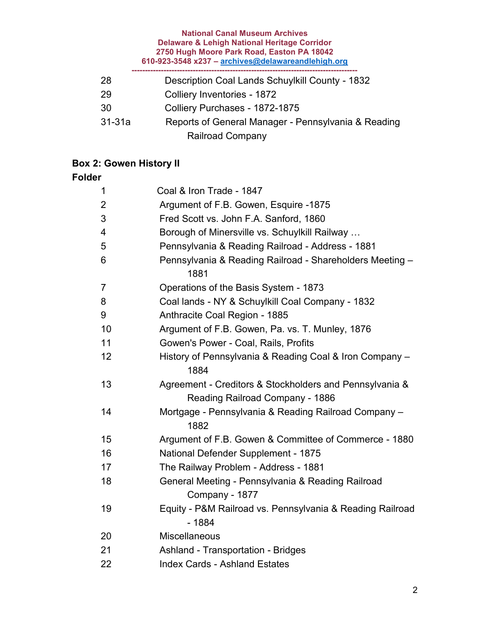| 28     | <b>Description Coal Lands Schuylkill County - 1832</b> |
|--------|--------------------------------------------------------|
| 29     | Colliery Inventories - 1872                            |
| 30     | Colliery Purchases - 1872-1875                         |
| 31-31a | Reports of General Manager - Pennsylvania & Reading    |
|        | <b>Railroad Company</b>                                |

## **Box 2: Gowen History II**

| 1                        | Coal & Iron Trade - 1847                                                                   |
|--------------------------|--------------------------------------------------------------------------------------------|
| $\overline{2}$           | Argument of F.B. Gowen, Esquire -1875                                                      |
| 3                        | Fred Scott vs. John F.A. Sanford, 1860                                                     |
| $\overline{\mathcal{A}}$ | Borough of Minersville vs. Schuylkill Railway                                              |
| 5                        | Pennsylvania & Reading Railroad - Address - 1881                                           |
| 6                        | Pennsylvania & Reading Railroad - Shareholders Meeting -<br>1881                           |
| $\overline{7}$           | Operations of the Basis System - 1873                                                      |
| 8                        | Coal lands - NY & Schuylkill Coal Company - 1832                                           |
| 9                        | Anthracite Coal Region - 1885                                                              |
| 10                       | Argument of F.B. Gowen, Pa. vs. T. Munley, 1876                                            |
| 11                       | Gowen's Power - Coal, Rails, Profits                                                       |
| 12                       | History of Pennsylvania & Reading Coal & Iron Company -<br>1884                            |
| 13                       | Agreement - Creditors & Stockholders and Pennsylvania &<br>Reading Railroad Company - 1886 |
| 14                       | Mortgage - Pennsylvania & Reading Railroad Company -<br>1882                               |
| 15                       | Argument of F.B. Gowen & Committee of Commerce - 1880                                      |
| 16                       | National Defender Supplement - 1875                                                        |
| 17                       | The Railway Problem - Address - 1881                                                       |
| 18                       | General Meeting - Pennsylvania & Reading Railroad<br>Company - 1877                        |
| 19                       | Equity - P&M Railroad vs. Pennsylvania & Reading Railroad<br>$-1884$                       |
| 20                       | <b>Miscellaneous</b>                                                                       |
| 21                       | <b>Ashland - Transportation - Bridges</b>                                                  |
| 22                       | <b>Index Cards - Ashland Estates</b>                                                       |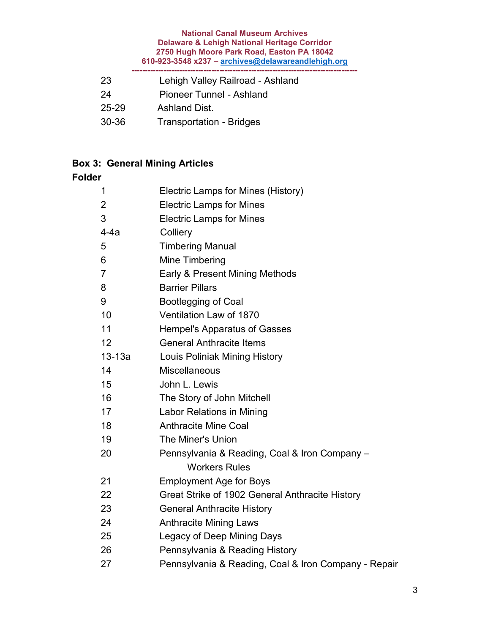| 23    | Lehigh Valley Railroad - Ashland |
|-------|----------------------------------|
| 24    | Pioneer Tunnel - Ashland         |
| 25-29 | <b>Ashland Dist.</b>             |
| 30-36 | <b>Transportation - Bridges</b>  |
|       |                                  |

### **Box 3: General Mining Articles**

| 1        | Electric Lamps for Mines (History)                   |
|----------|------------------------------------------------------|
| 2        | <b>Electric Lamps for Mines</b>                      |
| 3        | <b>Electric Lamps for Mines</b>                      |
| $4-4a$   | Colliery                                             |
| 5        | <b>Timbering Manual</b>                              |
| 6        | Mine Timbering                                       |
| 7        | Early & Present Mining Methods                       |
| 8        | <b>Barrier Pillars</b>                               |
| 9        | <b>Bootlegging of Coal</b>                           |
| 10       | Ventilation Law of 1870                              |
| 11       | <b>Hempel's Apparatus of Gasses</b>                  |
| 12       | <b>General Anthracite Items</b>                      |
| $13-13a$ | <b>Louis Poliniak Mining History</b>                 |
| 14       | <b>Miscellaneous</b>                                 |
| 15       | John L. Lewis                                        |
| 16       | The Story of John Mitchell                           |
| 17       | Labor Relations in Mining                            |
| 18       | <b>Anthracite Mine Coal</b>                          |
| 19       | The Miner's Union                                    |
| 20       | Pennsylvania & Reading, Coal & Iron Company -        |
|          | <b>Workers Rules</b>                                 |
| 21       | <b>Employment Age for Boys</b>                       |
| 22       | Great Strike of 1902 General Anthracite History      |
| 23       | <b>General Anthracite History</b>                    |
| 24       | <b>Anthracite Mining Laws</b>                        |
| 25       | Legacy of Deep Mining Days                           |
| 26       | Pennsylvania & Reading History                       |
| 27       | Pennsylvania & Reading, Coal & Iron Company - Repair |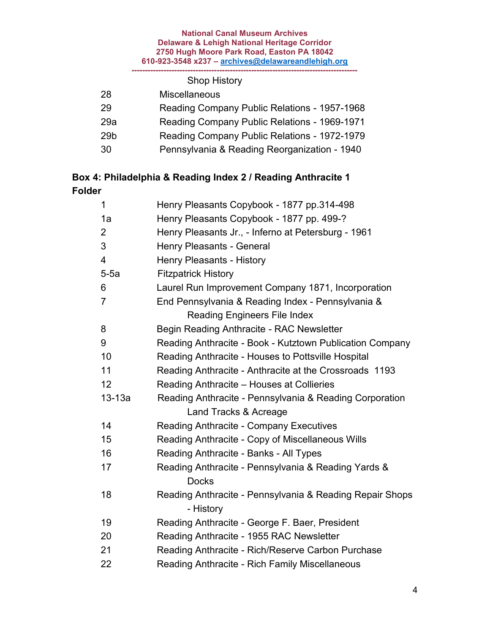|     | <b>Shop History</b>                                 |
|-----|-----------------------------------------------------|
| 28  | <b>Miscellaneous</b>                                |
| 29  | Reading Company Public Relations - 1957-1968        |
| 29a | <b>Reading Company Public Relations - 1969-1971</b> |
| 29b | Reading Company Public Relations - 1972-1979        |
| 30  | Pennsylvania & Reading Reorganization - 1940        |

### **Box 4: Philadelphia & Reading Index 2 / Reading Anthracite 1 Folder**

| 1              | Henry Pleasants Copybook - 1877 pp.314-498               |
|----------------|----------------------------------------------------------|
| 1a             | Henry Pleasants Copybook - 1877 pp. 499-?                |
| $\overline{2}$ | Henry Pleasants Jr., - Inferno at Petersburg - 1961      |
| 3              | Henry Pleasants - General                                |
| $\overline{4}$ | <b>Henry Pleasants - History</b>                         |
| $5-5a$         | <b>Fitzpatrick History</b>                               |
| 6              | Laurel Run Improvement Company 1871, Incorporation       |
| $\overline{7}$ | End Pennsylvania & Reading Index - Pennsylvania &        |
|                | <b>Reading Engineers File Index</b>                      |
| 8              | Begin Reading Anthracite - RAC Newsletter                |
| 9              | Reading Anthracite - Book - Kutztown Publication Company |
| 10             | Reading Anthracite - Houses to Pottsville Hospital       |
| 11             | Reading Anthracite - Anthracite at the Crossroads 1193   |
| 12             | Reading Anthracite - Houses at Collieries                |
| $13-13a$       | Reading Anthracite - Pennsylvania & Reading Corporation  |
|                | Land Tracks & Acreage                                    |
| 14             | <b>Reading Anthracite - Company Executives</b>           |
| 15             | Reading Anthracite - Copy of Miscellaneous Wills         |
| 16             | Reading Anthracite - Banks - All Types                   |
| 17             | Reading Anthracite - Pennsylvania & Reading Yards &      |
|                | <b>Docks</b>                                             |
| 18             | Reading Anthracite - Pennsylvania & Reading Repair Shops |
|                | - History                                                |
| 19             | Reading Anthracite - George F. Baer, President           |
| 20             | Reading Anthracite - 1955 RAC Newsletter                 |
| 21             | Reading Anthracite - Rich/Reserve Carbon Purchase        |
| 22             | Reading Anthracite - Rich Family Miscellaneous           |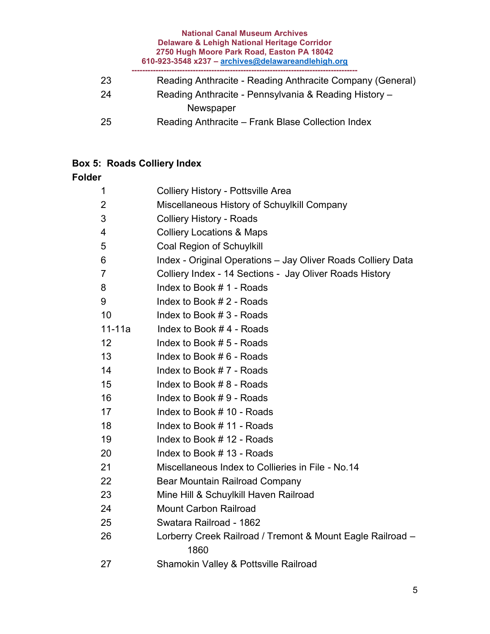#### **National Canal Museum Archives Delaware & Lehigh National Heritage Corridor 2750 Hugh Moore Park Road, Easton PA 18042 610-923-3548 x237 – [archives@delawareandlehigh.org](mailto:archives@delawareandlehigh.org)**

| 23 | Reading Anthracite - Reading Anthracite Company (General) |
|----|-----------------------------------------------------------|
| 24 | Reading Anthracite - Pennsylvania & Reading History -     |
|    | Newspaper                                                 |
| 25 | Reading Anthracite – Frank Blase Collection Index         |
|    |                                                           |

## **Box 5: Roads Colliery Index**

| 1              | Colliery History - Pottsville Area                                 |
|----------------|--------------------------------------------------------------------|
| 2              | Miscellaneous History of Schuylkill Company                        |
| 3              | <b>Colliery History - Roads</b>                                    |
| 4              | <b>Colliery Locations &amp; Maps</b>                               |
| 5              | Coal Region of Schuylkill                                          |
| 6              | Index - Original Operations - Jay Oliver Roads Colliery Data       |
| $\overline{7}$ | Colliery Index - 14 Sections - Jay Oliver Roads History            |
| 8              | Index to Book #1 - Roads                                           |
| 9              | Index to Book # 2 - Roads                                          |
| 10             | Index to Book # 3 - Roads                                          |
| $11 - 11a$     | Index to Book #4 - Roads                                           |
| 12             | Index to Book # 5 - Roads                                          |
| 13             | Index to Book #6 - Roads                                           |
| 14             | Index to Book #7 - Roads                                           |
| 15             | Index to Book #8 - Roads                                           |
| 16             | Index to Book #9 - Roads                                           |
| 17             | Index to Book # 10 - Roads                                         |
| 18             | Index to Book #11 - Roads                                          |
| 19             | Index to Book #12 - Roads                                          |
| 20             | Index to Book #13 - Roads                                          |
| 21             | Miscellaneous Index to Collieries in File - No.14                  |
| 22             | Bear Mountain Railroad Company                                     |
| 23             | Mine Hill & Schuylkill Haven Railroad                              |
| 24             | <b>Mount Carbon Railroad</b>                                       |
| 25             | Swatara Railroad - 1862                                            |
| 26             | Lorberry Creek Railroad / Tremont & Mount Eagle Railroad -<br>1860 |
| 27             | Shamokin Valley & Pottsville Railroad                              |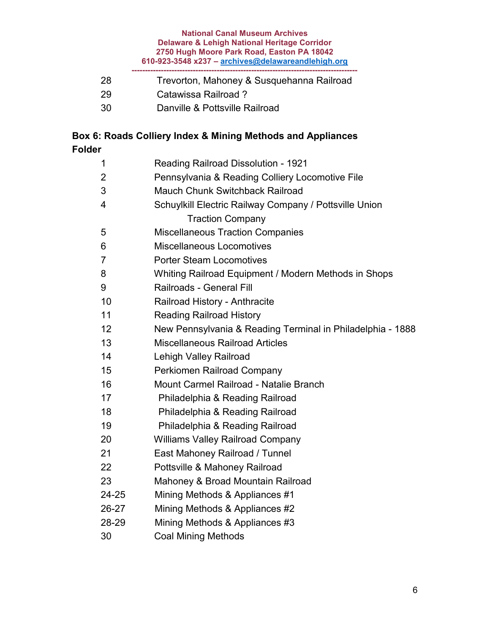| 28 | Trevorton, Mahoney & Susquehanna Railroad |
|----|-------------------------------------------|
| 29 | Catawissa Railroad ?                      |
| 30 | Danville & Pottsville Railroad            |

### **Box 6: Roads Colliery Index & Mining Methods and Appliances Folder**

| 1              | <b>Reading Railroad Dissolution - 1921</b>                 |
|----------------|------------------------------------------------------------|
| $\overline{2}$ | Pennsylvania & Reading Colliery Locomotive File            |
| 3              | <b>Mauch Chunk Switchback Railroad</b>                     |
| 4              | Schuylkill Electric Railway Company / Pottsville Union     |
|                | <b>Traction Company</b>                                    |
| 5              | <b>Miscellaneous Traction Companies</b>                    |
| 6              | <b>Miscellaneous Locomotives</b>                           |
| 7              | <b>Porter Steam Locomotives</b>                            |
| 8              | Whiting Railroad Equipment / Modern Methods in Shops       |
| 9              | <b>Railroads - General Fill</b>                            |
| 10             | Railroad History - Anthracite                              |
| 11             | <b>Reading Railroad History</b>                            |
| 12             | New Pennsylvania & Reading Terminal in Philadelphia - 1888 |
| 13             | <b>Miscellaneous Railroad Articles</b>                     |
| 14             | Lehigh Valley Railroad                                     |
| 15             | Perkiomen Railroad Company                                 |
| 16             | Mount Carmel Railroad - Natalie Branch                     |
| 17             | Philadelphia & Reading Railroad                            |
| 18             | Philadelphia & Reading Railroad                            |
| 19             | Philadelphia & Reading Railroad                            |
| 20             | <b>Williams Valley Railroad Company</b>                    |
| 21             | East Mahoney Railroad / Tunnel                             |
| 22             | Pottsville & Mahoney Railroad                              |
| 23             | Mahoney & Broad Mountain Railroad                          |
| 24-25          | Mining Methods & Appliances #1                             |
| 26-27          | Mining Methods & Appliances #2                             |
| 28-29          | Mining Methods & Appliances #3                             |
| 30             | <b>Coal Mining Methods</b>                                 |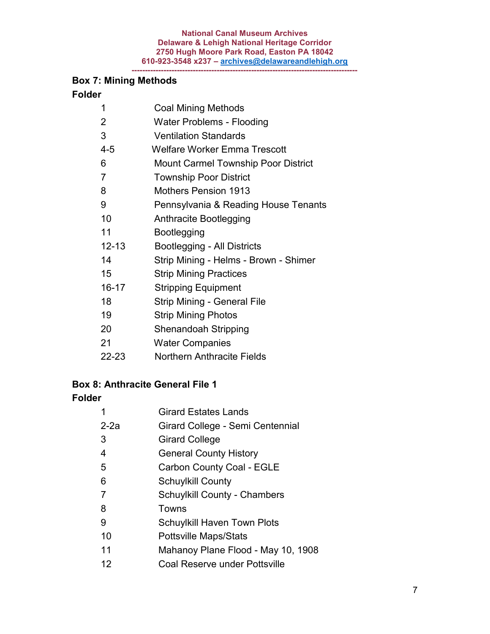## **Box 7: Mining Methods**

### **Folder**

| 1              | <b>Coal Mining Methods</b>                 |
|----------------|--------------------------------------------|
| 2              | <b>Water Problems - Flooding</b>           |
| 3              | <b>Ventilation Standards</b>               |
| $4 - 5$        | <b>Welfare Worker Emma Trescott</b>        |
| 6              | <b>Mount Carmel Township Poor District</b> |
| $\overline{7}$ | <b>Township Poor District</b>              |
| 8              | <b>Mothers Pension 1913</b>                |
| 9              | Pennsylvania & Reading House Tenants       |
| 10             | Anthracite Bootlegging                     |
| 11             | Bootlegging                                |
| $12 - 13$      | Bootlegging - All Districts                |
| 14             | Strip Mining - Helms - Brown - Shimer      |
| 15             | <b>Strip Mining Practices</b>              |
| 16-17          | <b>Stripping Equipment</b>                 |
| 18             | Strip Mining - General File                |
| 19             | <b>Strip Mining Photos</b>                 |
| 20             | <b>Shenandoah Stripping</b>                |
| 21             | <b>Water Companies</b>                     |
| 22-23          | <b>Northern Anthracite Fields</b>          |

## **Box 8: Anthracite General File 1**

| 1      | <b>Girard Estates Lands</b>         |
|--------|-------------------------------------|
| $2-2a$ | Girard College - Semi Centennial    |
| 3      | <b>Girard College</b>               |
| 4      | <b>General County History</b>       |
| 5      | <b>Carbon County Coal - EGLE</b>    |
| 6      | <b>Schuylkill County</b>            |
|        | <b>Schuylkill County - Chambers</b> |
| 8      | Towns                               |
| 9      | <b>Schuylkill Haven Town Plots</b>  |
| 10     | <b>Pottsville Maps/Stats</b>        |
| 11     | Mahanoy Plane Flood - May 10, 1908  |
| 12     | Coal Reserve under Pottsville       |
|        |                                     |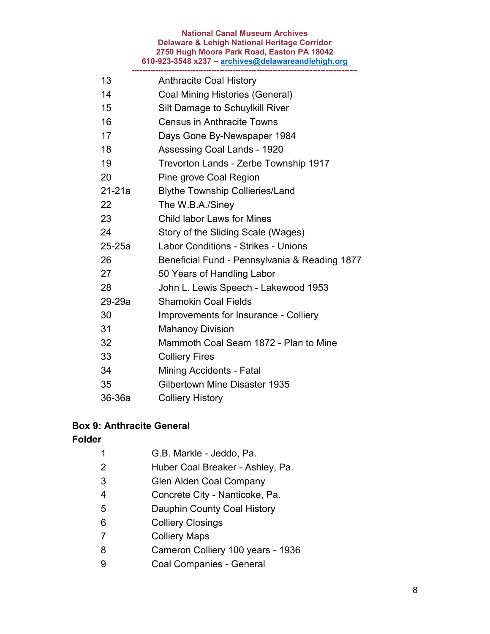#### **National Canal Museum Archives Delaware & Lehigh National Heritage Corridor 2750 Hugh Moore Park Road, Easton PA 18042 610-923-3548 x237 – [archives@delawareandlehigh.org](mailto:archives@delawareandlehigh.org)**

| 13       | <b>Anthracite Coal History</b>                |
|----------|-----------------------------------------------|
| 14       | <b>Coal Mining Histories (General)</b>        |
| 15       | Silt Damage to Schuylkill River               |
| 16       | <b>Census in Anthracite Towns</b>             |
| 17       | Days Gone By-Newspaper 1984                   |
| 18       | Assessing Coal Lands - 1920                   |
| 19       | Trevorton Lands - Zerbe Township 1917         |
| 20       | Pine grove Coal Region                        |
| $21-21a$ | <b>Blythe Township Collieries/Land</b>        |
| 22       | The W.B.A./Siney                              |
| 23       | <b>Child labor Laws for Mines</b>             |
| 24       | Story of the Sliding Scale (Wages)            |
| 25-25a   | <b>Labor Conditions - Strikes - Unions</b>    |
| 26       | Beneficial Fund - Pennsylvania & Reading 1877 |
| 27       | 50 Years of Handling Labor                    |
| 28       | John L. Lewis Speech - Lakewood 1953          |
| 29-29a   | <b>Shamokin Coal Fields</b>                   |
| 30       | Improvements for Insurance - Colliery         |
| 31       | <b>Mahanoy Division</b>                       |
| 32       | Mammoth Coal Seam 1872 - Plan to Mine         |
| 33       | <b>Colliery Fires</b>                         |
| 34       | <b>Mining Accidents - Fatal</b>               |
| 35       | <b>Gilbertown Mine Disaster 1935</b>          |
| 36-36a   | <b>Colliery History</b>                       |

## **Box 9: Anthracite General**

| 1 | G.B. Markle - Jeddo, Pa.          |
|---|-----------------------------------|
| 2 | Huber Coal Breaker - Ashley, Pa.  |
| 3 | <b>Glen Alden Coal Company</b>    |
| 4 | Concrete City - Nanticoke, Pa.    |
| 5 | Dauphin County Coal History       |
| 6 | <b>Colliery Closings</b>          |
| 7 | <b>Colliery Maps</b>              |
| 8 | Cameron Colliery 100 years - 1936 |
|   | <b>Coal Companies - General</b>   |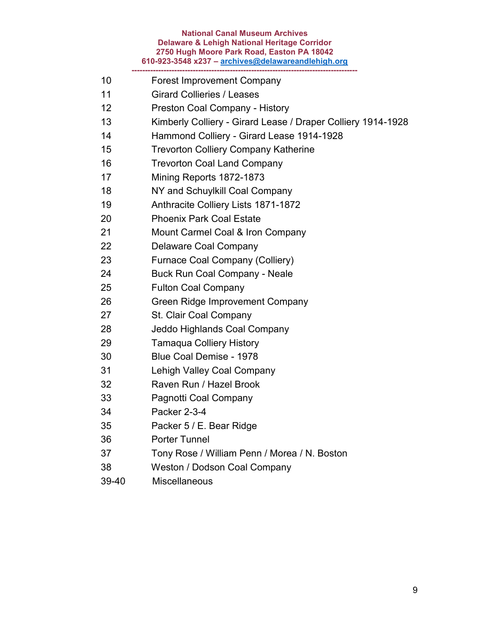#### **National Canal Museum Archives Delaware & Lehigh National Heritage Corridor 2750 Hugh Moore Park Road, Easton PA 18042 610-923-3548 x237 – [archives@delawareandlehigh.org](mailto:archives@delawareandlehigh.org)**

| 10    | <b>Forest Improvement Company</b>                            |
|-------|--------------------------------------------------------------|
| 11    | <b>Girard Collieries / Leases</b>                            |
| 12    | Preston Coal Company - History                               |
| 13    | Kimberly Colliery - Girard Lease / Draper Colliery 1914-1928 |
| 14    | Hammond Colliery - Girard Lease 1914-1928                    |
| 15    | <b>Trevorton Colliery Company Katherine</b>                  |
| 16    | <b>Trevorton Coal Land Company</b>                           |
| 17    | Mining Reports 1872-1873                                     |
| 18    | NY and Schuylkill Coal Company                               |
| 19    | Anthracite Colliery Lists 1871-1872                          |
| 20    | <b>Phoenix Park Coal Estate</b>                              |
| 21    | Mount Carmel Coal & Iron Company                             |
| 22    | <b>Delaware Coal Company</b>                                 |
| 23    | <b>Furnace Coal Company (Colliery)</b>                       |
| 24    | <b>Buck Run Coal Company - Neale</b>                         |
| 25    | <b>Fulton Coal Company</b>                                   |
| 26    | Green Ridge Improvement Company                              |
| 27    | St. Clair Coal Company                                       |
| 28    | Jeddo Highlands Coal Company                                 |
| 29    | <b>Tamaqua Colliery History</b>                              |
| 30    | Blue Coal Demise - 1978                                      |
| 31    | <b>Lehigh Valley Coal Company</b>                            |
| 32    | Raven Run / Hazel Brook                                      |
| 33    | Pagnotti Coal Company                                        |
| 34    | Packer 2-3-4                                                 |
| 35    | Packer 5 / E. Bear Ridge                                     |
| 36    | <b>Porter Tunnel</b>                                         |
| 37    | Tony Rose / William Penn / Morea / N. Boston                 |
| 38    | <b>Weston / Dodson Coal Company</b>                          |
| 39-40 | <b>Miscellaneous</b>                                         |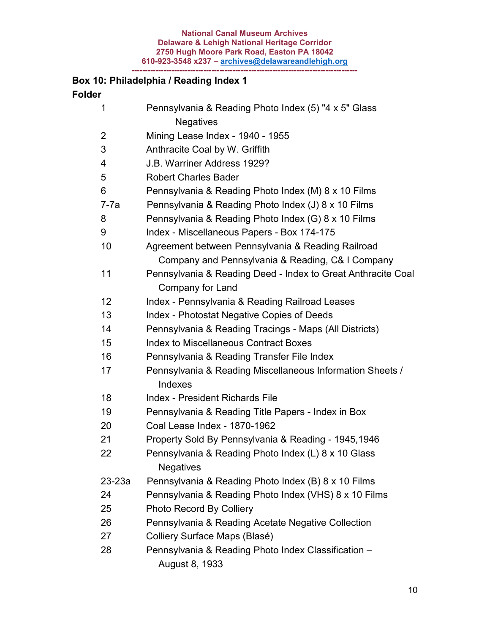## **Box 10: Philadelphia / Reading Index 1 Folder**

| $\mathbf 1$    | Pennsylvania & Reading Photo Index (5) "4 x 5" Glass<br><b>Negatives</b> |
|----------------|--------------------------------------------------------------------------|
| $\overline{2}$ | Mining Lease Index - 1940 - 1955                                         |
| 3              | Anthracite Coal by W. Griffith                                           |
| 4              | J.B. Warriner Address 1929?                                              |
| 5              | <b>Robert Charles Bader</b>                                              |
| 6              | Pennsylvania & Reading Photo Index (M) 8 x 10 Films                      |
| $7-7a$         | Pennsylvania & Reading Photo Index (J) 8 x 10 Films                      |
| 8              | Pennsylvania & Reading Photo Index (G) 8 x 10 Films                      |
| 9              | Index - Miscellaneous Papers - Box 174-175                               |
| 10             | Agreement between Pennsylvania & Reading Railroad                        |
|                | Company and Pennsylvania & Reading, C& I Company                         |
| 11             | Pennsylvania & Reading Deed - Index to Great Anthracite Coal             |
|                | Company for Land                                                         |
| 12             | Index - Pennsylvania & Reading Railroad Leases                           |
| 13             | <b>Index - Photostat Negative Copies of Deeds</b>                        |
| 14             | Pennsylvania & Reading Tracings - Maps (All Districts)                   |
| 15             | <b>Index to Miscellaneous Contract Boxes</b>                             |
| 16             | Pennsylvania & Reading Transfer File Index                               |
| 17             | Pennsylvania & Reading Miscellaneous Information Sheets /<br>Indexes     |
| 18             | <b>Index - President Richards File</b>                                   |
| 19             | Pennsylvania & Reading Title Papers - Index in Box                       |
| 20             | Coal Lease Index - 1870-1962                                             |
| 21             | Property Sold By Pennsylvania & Reading - 1945,1946                      |
| 22             | Pennsylvania & Reading Photo Index (L) 8 x 10 Glass<br><b>Negatives</b>  |
| $23 - 23a$     | Pennsylvania & Reading Photo Index (B) 8 x 10 Films                      |
| 24             | Pennsylvania & Reading Photo Index (VHS) 8 x 10 Films                    |
| 25             | Photo Record By Colliery                                                 |
| 26             | Pennsylvania & Reading Acetate Negative Collection                       |
| 27             | Colliery Surface Maps (Blasé)                                            |
| 28             | Pennsylvania & Reading Photo Index Classification -                      |
|                | August 8, 1933                                                           |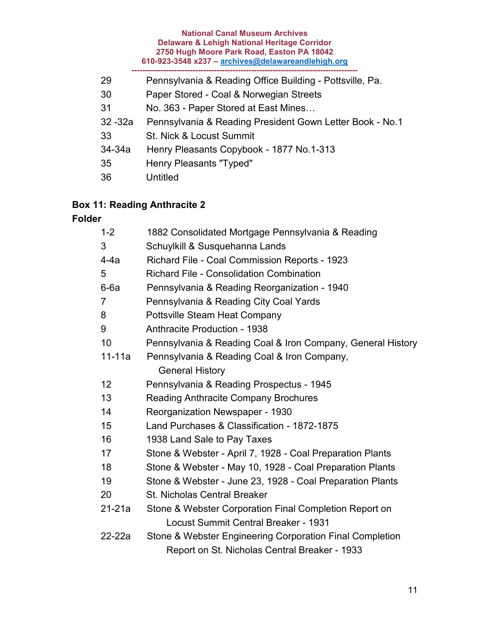#### **National Canal Museum Archives Delaware & Lehigh National Heritage Corridor 2750 Hugh Moore Park Road, Easton PA 18042 610-923-3548 x237 – [archives@delawareandlehigh.org](mailto:archives@delawareandlehigh.org)**

- **-------------------------------------------------------------------------------------** 29 Pennsylvania & Reading Office Building - Pottsville, Pa.
- 30 Paper Stored Coal & Norwegian Streets
- 31 No. 363 Paper Stored at East Mines…
- 32 -32a Pennsylvania & Reading President Gown Letter Book No.1
- 33 St. Nick & Locust Summit
- 34-34a Henry Pleasants Copybook 1877 No.1-313
- 35 Henry Pleasants "Typed"
- 36 Untitled

### **Box 11: Reading Anthracite 2**

| $1 - 2$        | 1882 Consolidated Mortgage Pennsylvania & Reading           |
|----------------|-------------------------------------------------------------|
| 3              | Schuylkill & Susquehanna Lands                              |
| $4-4a$         | Richard File - Coal Commission Reports - 1923               |
| 5              | <b>Richard File - Consolidation Combination</b>             |
| $6-6a$         | Pennsylvania & Reading Reorganization - 1940                |
| $\overline{7}$ | Pennsylvania & Reading City Coal Yards                      |
| 8              | Pottsville Steam Heat Company                               |
| 9              | <b>Anthracite Production - 1938</b>                         |
| 10             | Pennsylvania & Reading Coal & Iron Company, General History |
| $11 - 11a$     | Pennsylvania & Reading Coal & Iron Company,                 |
|                | <b>General History</b>                                      |
| 12             | Pennsylvania & Reading Prospectus - 1945                    |
| 13             | <b>Reading Anthracite Company Brochures</b>                 |
| 14             | Reorganization Newspaper - 1930                             |
| 15             | Land Purchases & Classification - 1872-1875                 |
| 16             | 1938 Land Sale to Pay Taxes                                 |
| 17             | Stone & Webster - April 7, 1928 - Coal Preparation Plants   |
| 18             | Stone & Webster - May 10, 1928 - Coal Preparation Plants    |
| 19             | Stone & Webster - June 23, 1928 - Coal Preparation Plants   |
| 20             | <b>St. Nicholas Central Breaker</b>                         |
| $21 - 21a$     | Stone & Webster Corporation Final Completion Report on      |
|                | Locust Summit Central Breaker - 1931                        |
| $22 - 22a$     | Stone & Webster Engineering Corporation Final Completion    |
|                | Report on St. Nicholas Central Breaker - 1933               |
|                |                                                             |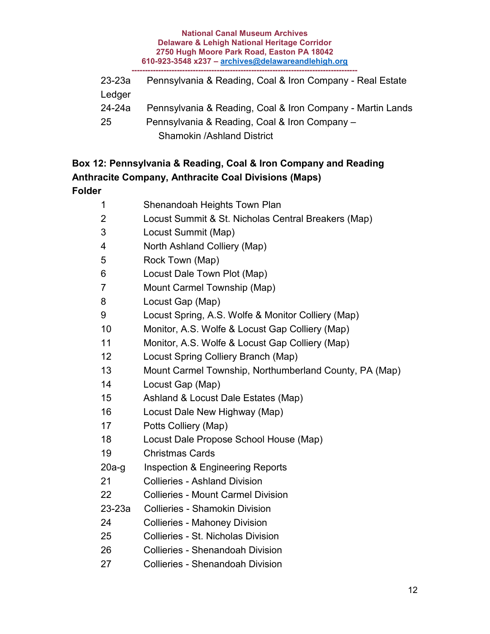| Pennsylvania & Reading, Coal & Iron Company - Real Estate  |
|------------------------------------------------------------|
|                                                            |
| Pennsylvania & Reading, Coal & Iron Company - Martin Lands |
| Pennsylvania & Reading, Coal & Iron Company -              |
| <b>Shamokin /Ashland District</b>                          |
|                                                            |

## **Box 12: Pennsylvania & Reading, Coal & Iron Company and Reading Anthracite Company, Anthracite Coal Divisions (Maps) Folder**

| 1       | Shenandoah Heights Town Plan                           |
|---------|--------------------------------------------------------|
| 2       | Locust Summit & St. Nicholas Central Breakers (Map)    |
| 3       | Locust Summit (Map)                                    |
| 4       | North Ashland Colliery (Map)                           |
| 5       | Rock Town (Map)                                        |
| 6       | Locust Dale Town Plot (Map)                            |
| 7       | Mount Carmel Township (Map)                            |
| 8       | Locust Gap (Map)                                       |
| 9       | Locust Spring, A.S. Wolfe & Monitor Colliery (Map)     |
| 10      | Monitor, A.S. Wolfe & Locust Gap Colliery (Map)        |
| 11      | Monitor, A.S. Wolfe & Locust Gap Colliery (Map)        |
| 12      | Locust Spring Colliery Branch (Map)                    |
| 13      | Mount Carmel Township, Northumberland County, PA (Map) |
| 14      | Locust Gap (Map)                                       |
| 15      | Ashland & Locust Dale Estates (Map)                    |
| 16      | Locust Dale New Highway (Map)                          |
| 17      | Potts Colliery (Map)                                   |
| 18      | Locust Dale Propose School House (Map)                 |
| 19      | <b>Christmas Cards</b>                                 |
| $20a-g$ | <b>Inspection &amp; Engineering Reports</b>            |
| 21      | <b>Collieries - Ashland Division</b>                   |
| 22      | <b>Collieries - Mount Carmel Division</b>              |
| 23-23a  | <b>Collieries - Shamokin Division</b>                  |
| 24      | <b>Collieries - Mahoney Division</b>                   |
| 25      | <b>Collieries - St. Nicholas Division</b>              |
| 26      | <b>Collieries - Shenandoah Division</b>                |
| 27      | <b>Collieries - Shenandoah Division</b>                |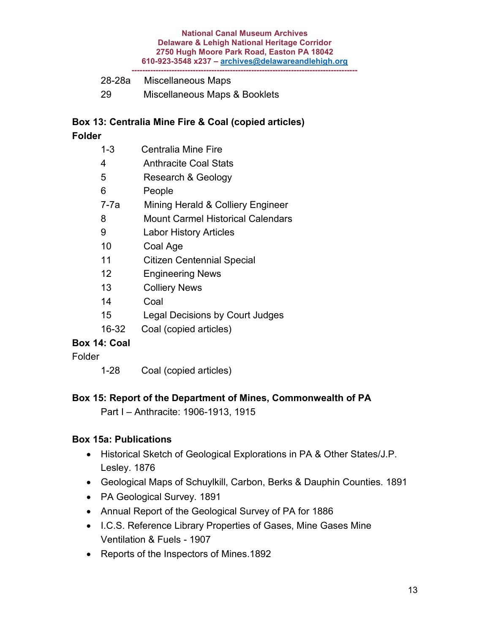|    | 28-28a Miscellaneous Maps     |
|----|-------------------------------|
| 29 | Miscellaneous Maps & Booklets |

# **Box 13: Centralia Mine Fire & Coal (copied articles)**

## **Folder**

| $1 - 3$ | Centralia Mine Fire |  |
|---------|---------------------|--|
|         |                     |  |

- 4 Anthracite Coal Stats
- 5 Research & Geology
- 6 People
- 7-7a Mining Herald & Colliery Engineer
- 8 Mount Carmel Historical Calendars
- 9 Labor History Articles
- 10 Coal Age
- 11 Citizen Centennial Special
- 12 Engineering News
- 13 Colliery News
- 14 Coal
- 15 Legal Decisions by Court Judges
- 16-32 Coal (copied articles)

## **Box 14: Coal**

Folder

1-28 Coal (copied articles)

## **Box 15: Report of the Department of Mines, Commonwealth of PA**

Part I – Anthracite: 1906-1913, 1915

## **Box 15a: Publications**

- Historical Sketch of Geological Explorations in PA & Other States/J.P. Lesley. 1876
- Geological Maps of Schuylkill, Carbon, Berks & Dauphin Counties. 1891
- PA Geological Survey. 1891
- Annual Report of the Geological Survey of PA for 1886
- I.C.S. Reference Library Properties of Gases, Mine Gases Mine Ventilation & Fuels - 1907
- Reports of the Inspectors of Mines.1892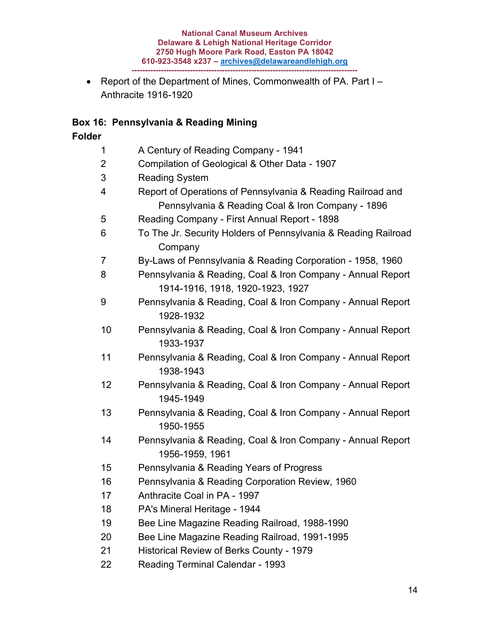• Report of the Department of Mines, Commonwealth of PA. Part I – Anthracite 1916-1920

### **Box 16: Pennsylvania & Reading Mining**

| 1  | A Century of Reading Company - 1941                                                                              |
|----|------------------------------------------------------------------------------------------------------------------|
| 2  | Compilation of Geological & Other Data - 1907                                                                    |
| 3  | <b>Reading System</b>                                                                                            |
| 4  | Report of Operations of Pennsylvania & Reading Railroad and<br>Pennsylvania & Reading Coal & Iron Company - 1896 |
| 5  | Reading Company - First Annual Report - 1898                                                                     |
| 6  | To The Jr. Security Holders of Pennsylvania & Reading Railroad<br>Company                                        |
| 7  | By-Laws of Pennsylvania & Reading Corporation - 1958, 1960                                                       |
| 8  | Pennsylvania & Reading, Coal & Iron Company - Annual Report<br>1914-1916, 1918, 1920-1923, 1927                  |
| 9  | Pennsylvania & Reading, Coal & Iron Company - Annual Report<br>1928-1932                                         |
| 10 | Pennsylvania & Reading, Coal & Iron Company - Annual Report<br>1933-1937                                         |
| 11 | Pennsylvania & Reading, Coal & Iron Company - Annual Report<br>1938-1943                                         |
| 12 | Pennsylvania & Reading, Coal & Iron Company - Annual Report<br>1945-1949                                         |
| 13 | Pennsylvania & Reading, Coal & Iron Company - Annual Report<br>1950-1955                                         |
| 14 | Pennsylvania & Reading, Coal & Iron Company - Annual Report<br>1956-1959, 1961                                   |
| 15 | Pennsylvania & Reading Years of Progress                                                                         |
| 16 | Pennsylvania & Reading Corporation Review, 1960                                                                  |
| 17 | Anthracite Coal in PA - 1997                                                                                     |
| 18 | PA's Mineral Heritage - 1944                                                                                     |
| 19 | Bee Line Magazine Reading Railroad, 1988-1990                                                                    |
| 20 | Bee Line Magazine Reading Railroad, 1991-1995                                                                    |
| 21 | Historical Review of Berks County - 1979                                                                         |
| 22 | <b>Reading Terminal Calendar - 1993</b>                                                                          |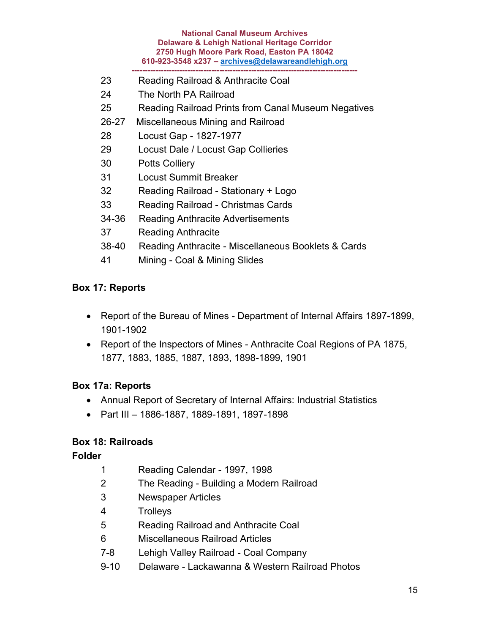- 23 Reading Railroad & Anthracite Coal
- 24 The North PA Railroad
- 25 Reading Railroad Prints from Canal Museum Negatives
- 26-27 Miscellaneous Mining and Railroad
- 28 Locust Gap 1827-1977
- 29 Locust Dale / Locust Gap Collieries
- 30 Potts Colliery
- 31 Locust Summit Breaker
- 32 Reading Railroad Stationary + Logo
- 33 Reading Railroad Christmas Cards
- 34-36 Reading Anthracite Advertisements
- 37 Reading Anthracite
- 38-40 Reading Anthracite Miscellaneous Booklets & Cards
- 41 Mining Coal & Mining Slides

### **Box 17: Reports**

- Report of the Bureau of Mines Department of Internal Affairs 1897-1899, 1901-1902
- Report of the Inspectors of Mines Anthracite Coal Regions of PA 1875, 1877, 1883, 1885, 1887, 1893, 1898-1899, 1901

### **Box 17a: Reports**

- Annual Report of Secretary of Internal Affairs: Industrial Statistics
- Part III 1886-1887, 1889-1891, 1897-1898

### **Box 18: Railroads**

- 1 Reading Calendar 1997, 1998
- 2 The Reading Building a Modern Railroad
- 3 Newspaper Articles
- 4 Trolleys
- 5 Reading Railroad and Anthracite Coal
- 6 Miscellaneous Railroad Articles
- 7-8 Lehigh Valley Railroad Coal Company
- 9-10 Delaware Lackawanna & Western Railroad Photos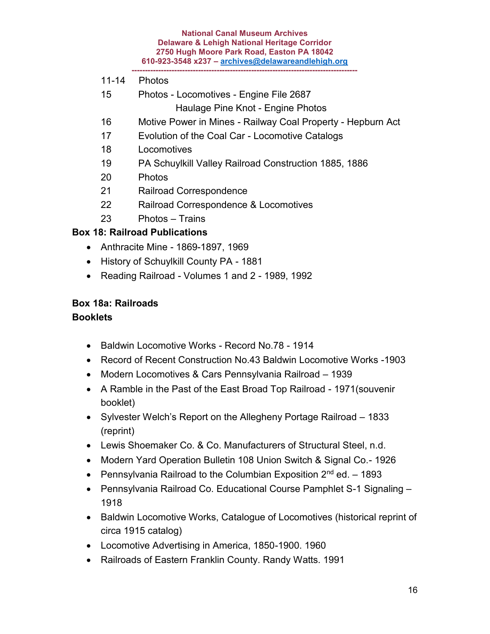- 11-14 Photos
- 15 Photos Locomotives Engine File 2687 Haulage Pine Knot - Engine Photos
- 16 Motive Power in Mines Railway Coal Property Hepburn Act
- 17 Evolution of the Coal Car Locomotive Catalogs
- 18 Locomotives
- 19 PA Schuylkill Valley Railroad Construction 1885, 1886
- 20 Photos
- 21 Railroad Correspondence
- 22 Railroad Correspondence & Locomotives
- 23 Photos Trains

### **Box 18: Railroad Publications**

- Anthracite Mine 1869-1897, 1969
- History of Schuylkill County PA 1881
- Reading Railroad Volumes 1 and 2 1989, 1992

### **Box 18a: Railroads**

### **Booklets**

- Baldwin Locomotive Works Record No.78 1914
- Record of Recent Construction No.43 Baldwin Locomotive Works -1903
- Modern Locomotives & Cars Pennsylvania Railroad 1939
- A Ramble in the Past of the East Broad Top Railroad 1971(souvenir booklet)
- Sylvester Welch's Report on the Allegheny Portage Railroad 1833 (reprint)
- Lewis Shoemaker Co. & Co. Manufacturers of Structural Steel, n.d.
- Modern Yard Operation Bulletin 108 Union Switch & Signal Co.- 1926
- Pennsylvania Railroad to the Columbian Exposition  $2<sup>nd</sup>$  ed.  $-1893$
- Pennsylvania Railroad Co. Educational Course Pamphlet S-1 Signaling 1918
- Baldwin Locomotive Works, Catalogue of Locomotives (historical reprint of circa 1915 catalog)
- Locomotive Advertising in America, 1850-1900. 1960
- Railroads of Eastern Franklin County. Randy Watts. 1991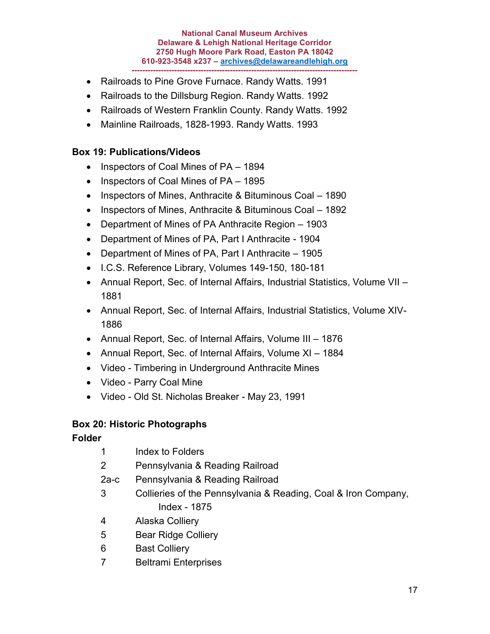- Railroads to Pine Grove Furnace. Randy Watts. 1991
- Railroads to the Dillsburg Region. Randy Watts. 1992
- Railroads of Western Franklin County. Randy Watts. 1992
- Mainline Railroads, 1828-1993. Randy Watts. 1993

#### **Box 19: Publications/Videos**

- Inspectors of Coal Mines of PA 1894
- Inspectors of Coal Mines of PA 1895
- Inspectors of Mines, Anthracite & Bituminous Coal 1890
- Inspectors of Mines, Anthracite & Bituminous Coal 1892
- Department of Mines of PA Anthracite Region 1903
- Department of Mines of PA, Part I Anthracite 1904
- Department of Mines of PA, Part I Anthracite 1905
- I.C.S. Reference Library, Volumes 149-150, 180-181
- Annual Report, Sec. of Internal Affairs, Industrial Statistics, Volume VII 1881
- Annual Report, Sec. of Internal Affairs, Industrial Statistics, Volume XIV-1886
- Annual Report, Sec. of Internal Affairs, Volume III 1876
- Annual Report, Sec. of Internal Affairs, Volume XI 1884
- Video Timbering in Underground Anthracite Mines
- Video Parry Coal Mine
- Video Old St. Nicholas Breaker May 23, 1991

### **Box 20: Historic Photographs**

### **Folder**

| Index to Folders                                               |
|----------------------------------------------------------------|
| Pennsylvania & Reading Railroad                                |
| Pennsylvania & Reading Railroad                                |
| Collieries of the Pennsylvania & Reading, Coal & Iron Company, |
| Index - 1875                                                   |
| Alaska Colliery                                                |
| <b>Bear Ridge Colliery</b>                                     |
| <b>Bast Colliery</b>                                           |
|                                                                |

7 Beltrami Enterprises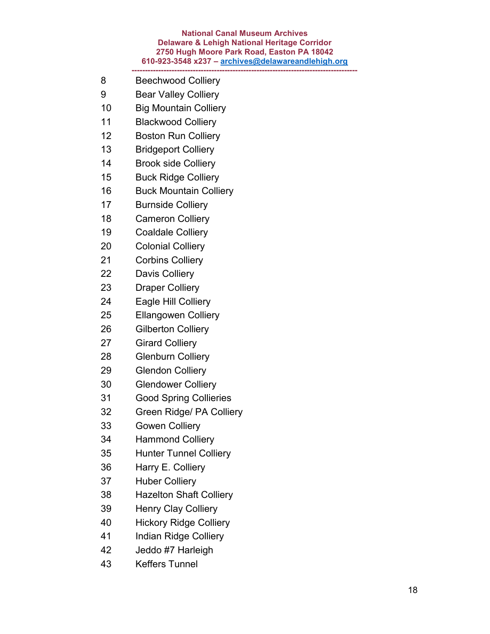- 8 Beechwood Colliery
- 9 Bear Valley Colliery
- 10 Big Mountain Colliery
- 11 Blackwood Colliery
- 12 Boston Run Colliery
- 13 Bridgeport Colliery
- 14 Brook side Colliery
- 15 Buck Ridge Colliery
- 16 Buck Mountain Colliery
- 17 Burnside Colliery
- 18 Cameron Colliery
- 19 Coaldale Colliery
- 20 Colonial Colliery
- 21 Corbins Colliery
- 22 Davis Colliery
- 23 Draper Colliery
- 24 Eagle Hill Colliery
- 25 Ellangowen Colliery
- 26 Gilberton Colliery
- 27 Girard Colliery
- 28 Glenburn Colliery
- 29 Glendon Colliery
- 30 Glendower Colliery
- 31 Good Spring Collieries
- 32 Green Ridge/ PA Colliery
- 33 Gowen Colliery
- 34 Hammond Colliery
- 35 Hunter Tunnel Colliery
- 36 Harry E. Colliery
- 37 Huber Colliery
- 38 Hazelton Shaft Colliery
- 39 Henry Clay Colliery
- 40 Hickory Ridge Colliery
- 41 Indian Ridge Colliery
- 42 Jeddo #7 Harleigh
- 43 Keffers Tunnel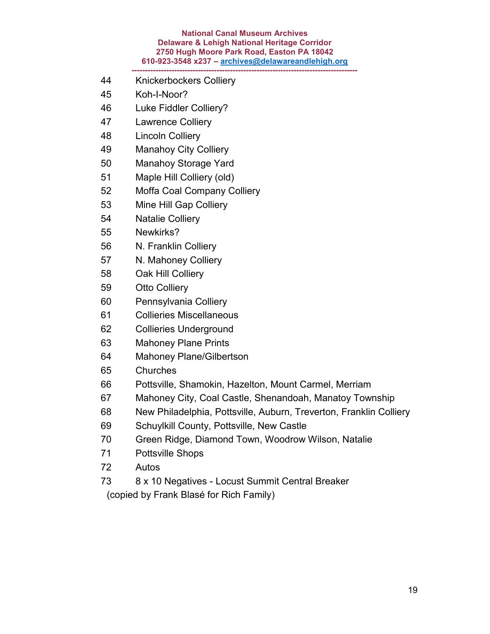- 44 Knickerbockers Colliery
- 45 Koh-I-Noor?
- 46 Luke Fiddler Colliery?
- 47 Lawrence Colliery
- 48 Lincoln Colliery
- 49 Manahoy City Colliery
- 50 Manahoy Storage Yard
- 51 Maple Hill Colliery (old)
- 52 Moffa Coal Company Colliery
- 53 Mine Hill Gap Colliery
- 54 Natalie Colliery
- 55 Newkirks?
- 56 N. Franklin Colliery
- 57 N. Mahoney Colliery
- 58 Oak Hill Colliery
- 59 Otto Colliery
- 60 Pennsylvania Colliery
- 61 Collieries Miscellaneous
- 62 Collieries Underground
- 63 Mahoney Plane Prints
- 64 Mahoney Plane/Gilbertson
- 65 Churches
- 66 Pottsville, Shamokin, Hazelton, Mount Carmel, Merriam
- 67 Mahoney City, Coal Castle, Shenandoah, Manatoy Township
- 68 New Philadelphia, Pottsville, Auburn, Treverton, Franklin Colliery
- 69 Schuylkill County, Pottsville, New Castle
- 70 Green Ridge, Diamond Town, Woodrow Wilson, Natalie
- 71 Pottsville Shops
- 72 Autos
- 73 8 x 10 Negatives Locust Summit Central Breaker
	- (copied by Frank Blasé for Rich Family)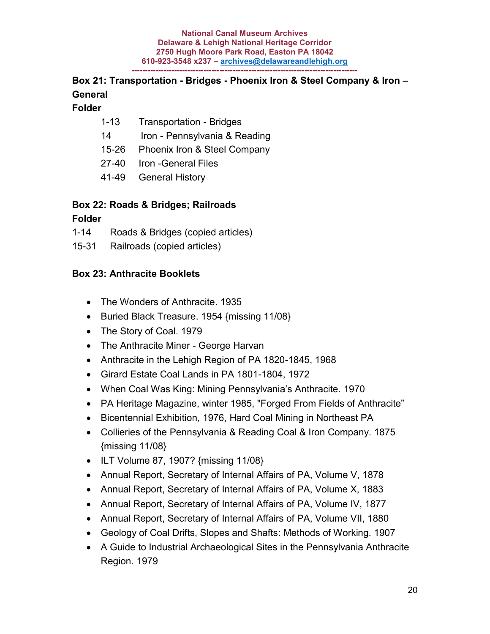## **Box 21: Transportation - Bridges - Phoenix Iron & Steel Company & Iron – General**

### **Folder**

- 1-13 Transportation Bridges
- 14 Iron Pennsylvania & Reading
- 15-26 Phoenix Iron & Steel Company
- 27-40 Iron -General Files
- 41-49 General History

### **Box 22: Roads & Bridges; Railroads**

### **Folder**

- 1-14 Roads & Bridges (copied articles)
- 15-31 Railroads (copied articles)

## **Box 23: Anthracite Booklets**

- The Wonders of Anthracite. 1935
- Buried Black Treasure. 1954 {missing 11/08}
- The Story of Coal. 1979
- The Anthracite Miner George Harvan
- Anthracite in the Lehigh Region of PA 1820-1845, 1968
- Girard Estate Coal Lands in PA 1801-1804, 1972
- When Coal Was King: Mining Pennsylvania's Anthracite. 1970
- PA Heritage Magazine, winter 1985, "Forged From Fields of Anthracite"
- Bicentennial Exhibition, 1976, Hard Coal Mining in Northeast PA
- Collieries of the Pennsylvania & Reading Coal & Iron Company. 1875 {missing 11/08}
- ILT Volume 87, 1907? {missing 11/08}
- Annual Report, Secretary of Internal Affairs of PA, Volume V, 1878
- Annual Report, Secretary of Internal Affairs of PA, Volume X, 1883
- Annual Report, Secretary of Internal Affairs of PA, Volume IV, 1877
- Annual Report, Secretary of Internal Affairs of PA, Volume VII, 1880
- Geology of Coal Drifts, Slopes and Shafts: Methods of Working. 1907
- A Guide to Industrial Archaeological Sites in the Pennsylvania Anthracite Region. 1979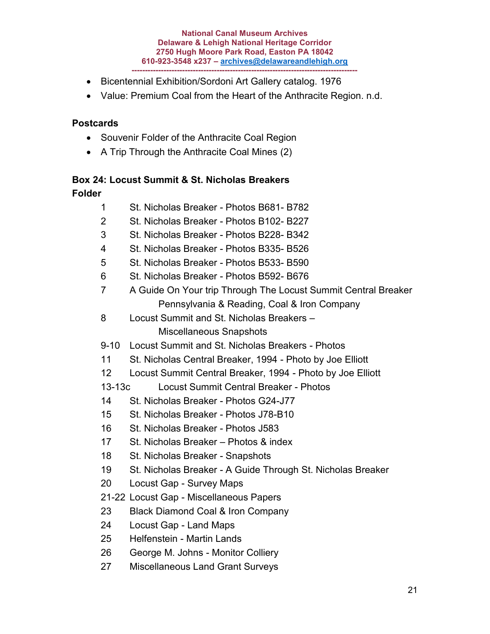- Bicentennial Exhibition/Sordoni Art Gallery catalog. 1976
- Value: Premium Coal from the Heart of the Anthracite Region. n.d.

### **Postcards**

- Souvenir Folder of the Anthracite Coal Region
- A Trip Through the Anthracite Coal Mines (2)

### **Box 24: Locust Summit & St. Nicholas Breakers Folder**

| 1               | St. Nicholas Breaker - Photos B681- B782                       |
|-----------------|----------------------------------------------------------------|
| 2               | St. Nicholas Breaker - Photos B102- B227                       |
| 3               | St. Nicholas Breaker - Photos B228- B342                       |
| 4               | St. Nicholas Breaker - Photos B335- B526                       |
| 5               | St. Nicholas Breaker - Photos B533- B590                       |
| 6               | St. Nicholas Breaker - Photos B592- B676                       |
| $\overline{7}$  | A Guide On Your trip Through The Locust Summit Central Breaker |
|                 | Pennsylvania & Reading, Coal & Iron Company                    |
| 8               | Locust Summit and St. Nicholas Breakers -                      |
|                 | <b>Miscellaneous Snapshots</b>                                 |
| $9 - 10$        | Locust Summit and St. Nicholas Breakers - Photos               |
| 11              | St. Nicholas Central Breaker, 1994 - Photo by Joe Elliott      |
| 12 <sup>2</sup> | Locust Summit Central Breaker, 1994 - Photo by Joe Elliott     |
| $13-13c$        | Locust Summit Central Breaker - Photos                         |
| 14              | St. Nicholas Breaker - Photos G24-J77                          |
| 15              | St. Nicholas Breaker - Photos J78-B10                          |
| 16              | St. Nicholas Breaker - Photos J583                             |
| 17              | St. Nicholas Breaker - Photos & index                          |
| 18              | St. Nicholas Breaker - Snapshots                               |
| 19              | St. Nicholas Breaker - A Guide Through St. Nicholas Breaker    |
| 20              | Locust Gap - Survey Maps                                       |
|                 | 21-22 Locust Gap - Miscellaneous Papers                        |
| 23              | <b>Black Diamond Coal &amp; Iron Company</b>                   |
| 24              | Locust Gap - Land Maps                                         |
| 25              | Helfenstein - Martin Lands                                     |
| 26              | George M. Johns - Monitor Colliery                             |
| 27              | <b>Miscellaneous Land Grant Surveys</b>                        |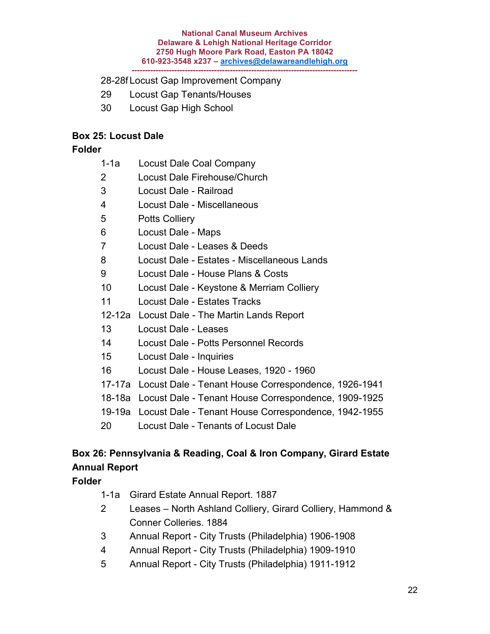### 28-28f Locust Gap Improvement Company

- 29 Locust Gap Tenants/Houses
- 30 Locust Gap High School

### **Box 25: Locust Dale**

### **Folder**

| $1-1a$          | <b>Locust Dale Coal Company</b>                             |
|-----------------|-------------------------------------------------------------|
| 2               | Locust Dale Firehouse/Church                                |
| 3               | Locust Dale - Railroad                                      |
| 4               | Locust Dale - Miscellaneous                                 |
| 5               | <b>Potts Colliery</b>                                       |
| 6               | Locust Dale - Maps                                          |
| $\overline{7}$  | Locust Dale - Leases & Deeds                                |
| 8               | Locust Dale - Estates - Miscellaneous Lands                 |
| 9               | Locust Dale - House Plans & Costs                           |
| 10              | Locust Dale - Keystone & Merriam Colliery                   |
| 11              | Locust Dale - Estates Tracks                                |
|                 | 12-12a Locust Dale - The Martin Lands Report                |
| 13 <sup>°</sup> | Locust Dale - Leases                                        |
| 14              | Locust Dale - Potts Personnel Records                       |
| 15 <sup>1</sup> | Locust Dale - Inquiries                                     |
| 16              | Locust Dale - House Leases, 1920 - 1960                     |
|                 | 17-17a Locust Dale - Tenant House Correspondence, 1926-1941 |
|                 | 18-18a Locust Dale - Tenant House Correspondence, 1909-1925 |
|                 | 19-19a Locust Dale - Tenant House Correspondence, 1942-1955 |
| 20              | Locust Dale - Tenants of Locust Dale                        |

## **Box 26: Pennsylvania & Reading, Coal & Iron Company, Girard Estate Annual Report**

- 1-1a Girard Estate Annual Report. 1887
- 2 Leases North Ashland Colliery, Girard Colliery, Hammond & Conner Colleries. 1884
- 3 Annual Report City Trusts (Philadelphia) 1906-1908
- 4 Annual Report City Trusts (Philadelphia) 1909-1910
- 5 Annual Report City Trusts (Philadelphia) 1911-1912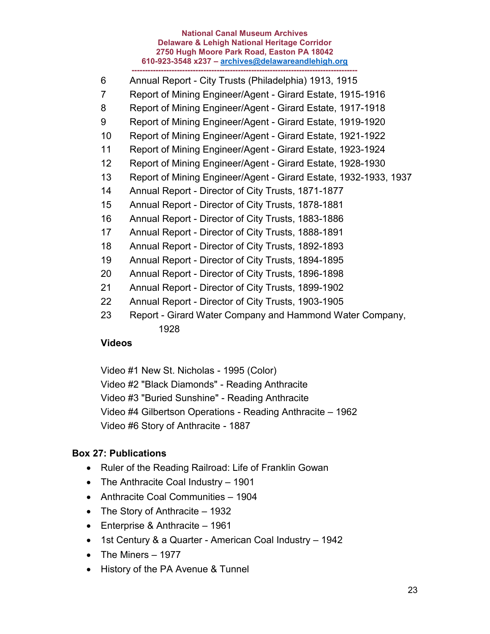#### **National Canal Museum Archives Delaware & Lehigh National Heritage Corridor 2750 Hugh Moore Park Road, Easton PA 18042 610-923-3548 x237 – [archives@delawareandlehigh.org](mailto:archives@delawareandlehigh.org)**

**-------------------------------------------------------------------------------------** 6 Annual Report - City Trusts (Philadelphia) 1913, 1915

- 7 Report of Mining Engineer/Agent Girard Estate, 1915-1916
- 8 Report of Mining Engineer/Agent Girard Estate, 1917-1918
- 9 Report of Mining Engineer/Agent Girard Estate, 1919-1920
- 10 Report of Mining Engineer/Agent Girard Estate, 1921-1922
- 11 Report of Mining Engineer/Agent Girard Estate, 1923-1924
- 12 Report of Mining Engineer/Agent Girard Estate, 1928-1930
- 13 Report of Mining Engineer/Agent Girard Estate, 1932-1933, 1937
- 14 Annual Report Director of City Trusts, 1871-1877
- 15 Annual Report Director of City Trusts, 1878-1881
- 16 Annual Report Director of City Trusts, 1883-1886
- 17 Annual Report Director of City Trusts, 1888-1891
- 18 Annual Report Director of City Trusts, 1892-1893
- 19 Annual Report Director of City Trusts, 1894-1895
- 20 Annual Report Director of City Trusts, 1896-1898
- 21 Annual Report Director of City Trusts, 1899-1902
- 22 Annual Report Director of City Trusts, 1903-1905
- 23 Report Girard Water Company and Hammond Water Company, 1928

## **Videos**

Video #1 New St. Nicholas - 1995 (Color) Video #2 "Black Diamonds" - Reading Anthracite Video #3 "Buried Sunshine" - Reading Anthracite Video #4 Gilbertson Operations - Reading Anthracite – 1962 Video #6 Story of Anthracite - 1887

## **Box 27: Publications**

- Ruler of the Reading Railroad: Life of Franklin Gowan
- The Anthracite Coal Industry 1901
- Anthracite Coal Communities 1904
- The Story of Anthracite 1932
- Enterprise & Anthracite 1961
- 1st Century & a Quarter American Coal Industry 1942
- The Miners 1977
- History of the PA Avenue & Tunnel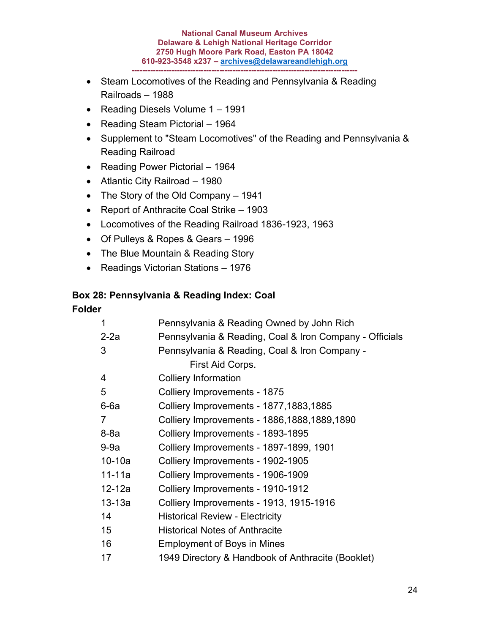- Steam Locomotives of the Reading and Pennsylvania & Reading Railroads – 1988
- Reading Diesels Volume 1 1991
- Reading Steam Pictorial 1964
- Supplement to "Steam Locomotives" of the Reading and Pennsylvania & Reading Railroad
- Reading Power Pictorial 1964
- Atlantic City Railroad 1980
- The Story of the Old Company 1941
- Report of Anthracite Coal Strike 1903
- Locomotives of the Reading Railroad 1836-1923, 1963
- Of Pulleys & Ropes & Gears 1996
- The Blue Mountain & Reading Story
- Readings Victorian Stations 1976

### **Box 28: Pennsylvania & Reading Index: Coal**

| 1          | Pennsylvania & Reading Owned by John Rich               |
|------------|---------------------------------------------------------|
| $2-2a$     | Pennsylvania & Reading, Coal & Iron Company - Officials |
| 3          | Pennsylvania & Reading, Coal & Iron Company -           |
|            | First Aid Corps.                                        |
| 4          | <b>Colliery Information</b>                             |
| 5          | Colliery Improvements - 1875                            |
| $6-6a$     | Colliery Improvements - 1877, 1883, 1885                |
| 7          | Colliery Improvements - 1886, 1888, 1889, 1890          |
| $8-8a$     | Colliery Improvements - 1893-1895                       |
| $9-9a$     | Colliery Improvements - 1897-1899, 1901                 |
| $10-10a$   | Colliery Improvements - 1902-1905                       |
| 11-11a     | Colliery Improvements - 1906-1909                       |
| $12 - 12a$ | Colliery Improvements - 1910-1912                       |
| $13-13a$   | Colliery Improvements - 1913, 1915-1916                 |
| 14         | <b>Historical Review - Electricity</b>                  |
| 15         | <b>Historical Notes of Anthracite</b>                   |
| 16         | <b>Employment of Boys in Mines</b>                      |
| 17         | 1949 Directory & Handbook of Anthracite (Booklet)       |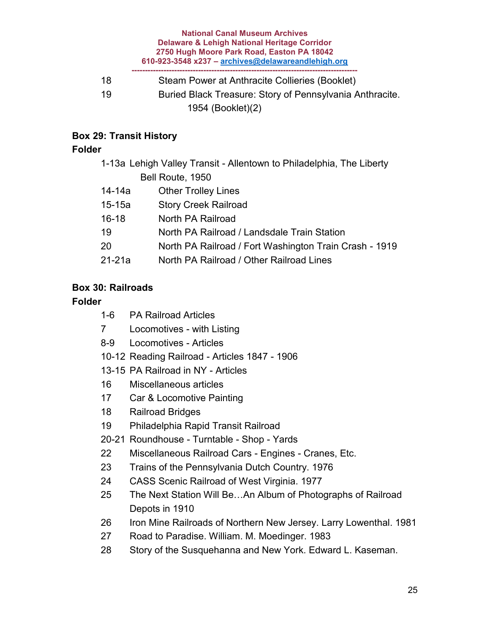| 18 | Steam Power at Anthracite Collieries (Booklet)           |
|----|----------------------------------------------------------|
| 19 | Buried Black Treasure: Story of Pennsylvania Anthracite. |
|    | 1954 (Booklet)(2)                                        |

## **Box 29: Transit History**

### **Folder**

|           | 1-13a Lehigh Valley Transit - Allentown to Philadelphia, The Liberty |
|-----------|----------------------------------------------------------------------|
|           | Bell Route, 1950                                                     |
| 14-14a    | <b>Other Trolley Lines</b>                                           |
| $15-15a$  | <b>Story Creek Railroad</b>                                          |
| $16 - 18$ | North PA Railroad                                                    |
| 19        | North PA Railroad / Landsdale Train Station                          |
| 20        | North PA Railroad / Fort Washington Train Crash - 1919               |
| 21-21a    | North PA Railroad / Other Railroad Lines                             |

## **Box 30: Railroads**

- 1-6 PA Railroad Articles
- 7 Locomotives with Listing
- 8-9 Locomotives Articles
- 10-12 Reading Railroad Articles 1847 1906
- 13-15 PA Railroad in NY Articles
- 16 Miscellaneous articles
- 17 Car & Locomotive Painting
- 18 Railroad Bridges
- 19 Philadelphia Rapid Transit Railroad
- 20-21 Roundhouse Turntable Shop Yards
- 22 Miscellaneous Railroad Cars Engines Cranes, Etc.
- 23 Trains of the Pennsylvania Dutch Country. 1976
- 24 CASS Scenic Railroad of West Virginia. 1977
- 25 The Next Station Will Be…An Album of Photographs of Railroad Depots in 1910
- 26 Iron Mine Railroads of Northern New Jersey. Larry Lowenthal. 1981
- 27 Road to Paradise. William. M. Moedinger. 1983
- 28 Story of the Susquehanna and New York. Edward L. Kaseman.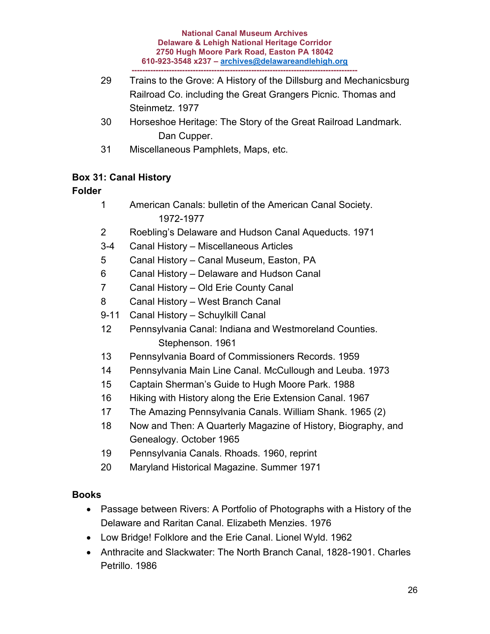- 29 Trains to the Grove: A History of the Dillsburg and Mechanicsburg Railroad Co. including the Great Grangers Picnic. Thomas and Steinmetz. 1977
- 30 Horseshoe Heritage: The Story of the Great Railroad Landmark. Dan Cupper.
- 31 Miscellaneous Pamphlets, Maps, etc.

## **Box 31: Canal History**

## **Folder**

- 1 American Canals: bulletin of the American Canal Society. 1972-1977
- 2 Roebling's Delaware and Hudson Canal Aqueducts. 1971
- 3-4 Canal History Miscellaneous Articles
- 5 Canal History Canal Museum, Easton, PA
- 6 Canal History Delaware and Hudson Canal
- 7 Canal History Old Erie County Canal
- 8 Canal History West Branch Canal
- 9-11 Canal History Schuylkill Canal
- 12 Pennsylvania Canal: Indiana and Westmoreland Counties. Stephenson. 1961
- 13 Pennsylvania Board of Commissioners Records. 1959
- 14 Pennsylvania Main Line Canal. McCullough and Leuba. 1973
- 15 Captain Sherman's Guide to Hugh Moore Park. 1988
- 16 Hiking with History along the Erie Extension Canal. 1967
- 17 The Amazing Pennsylvania Canals. William Shank. 1965 (2)
- 18 Now and Then: A Quarterly Magazine of History, Biography, and Genealogy. October 1965
- 19 Pennsylvania Canals. Rhoads. 1960, reprint
- 20 Maryland Historical Magazine. Summer 1971

## **Books**

- Passage between Rivers: A Portfolio of Photographs with a History of the Delaware and Raritan Canal. Elizabeth Menzies. 1976
- Low Bridge! Folklore and the Erie Canal. Lionel Wyld. 1962
- Anthracite and Slackwater: The North Branch Canal, 1828-1901. Charles Petrillo. 1986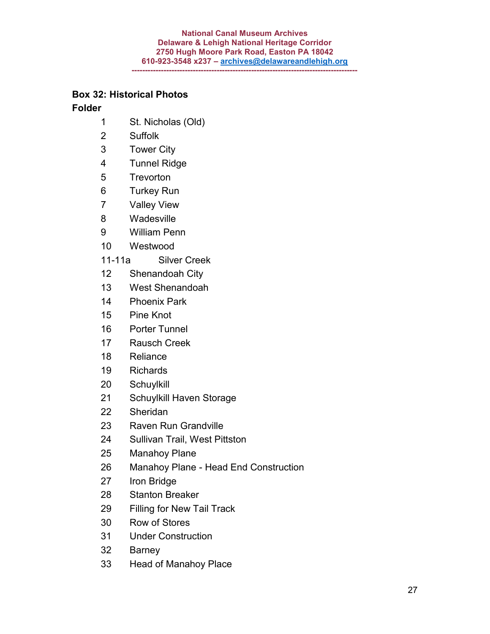### **Box 32: Historical Photos**

- St. Nicholas (Old)
- Suffolk
- Tower City
- Tunnel Ridge
- Trevorton
- Turkey Run
- Valley View
- Wadesville
- William Penn
- Westwood
- 11-11a Silver Creek
- Shenandoah City
- West Shenandoah
- Phoenix Park
- Pine Knot
- Porter Tunnel
- Rausch Creek
- Reliance
- Richards
- Schuylkill
- Schuylkill Haven Storage
- Sheridan
- Raven Run Grandville
- Sullivan Trail, West Pittston
- Manahoy Plane
- Manahoy Plane Head End Construction
- Iron Bridge
- Stanton Breaker
- Filling for New Tail Track
- Row of Stores
- Under Construction
- Barney
- Head of Manahoy Place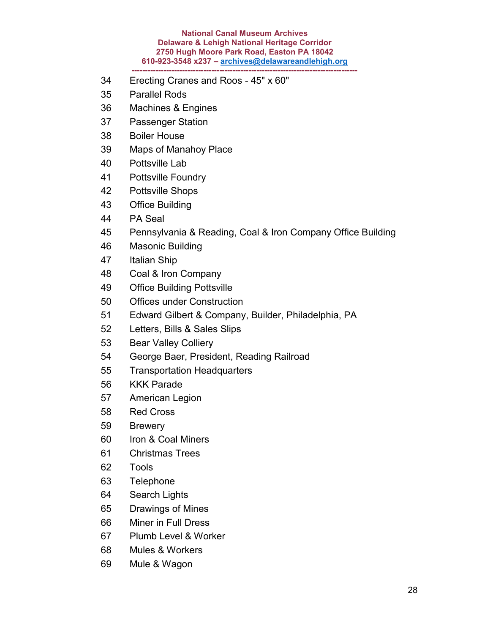- Erecting Cranes and Roos 45" x 60"
- Parallel Rods
- Machines & Engines
- Passenger Station
- Boiler House
- 39 Maps of Manahoy Place
- Pottsville Lab
- Pottsville Foundry
- 42 Pottsville Shops
- Office Building
- 44 PA Seal
- Pennsylvania & Reading, Coal & Iron Company Office Building
- Masonic Building
- Italian Ship
- Coal & Iron Company
- Office Building Pottsville
- Offices under Construction
- Edward Gilbert & Company, Builder, Philadelphia, PA
- Letters, Bills & Sales Slips
- Bear Valley Colliery
- George Baer, President, Reading Railroad
- Transportation Headquarters
- KKK Parade
- American Legion
- Red Cross
- Brewery
- Iron & Coal Miners
- Christmas Trees
- Tools
- Telephone
- Search Lights
- Drawings of Mines
- Miner in Full Dress
- Plumb Level & Worker
- Mules & Workers
- Mule & Wagon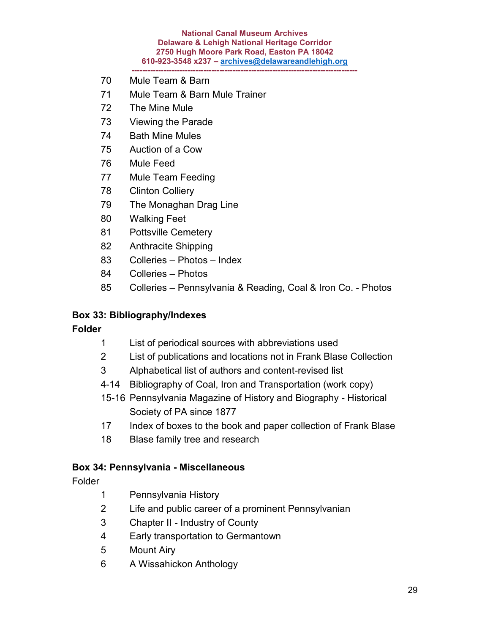- Mule Team & Barn
- Mule Team & Barn Mule Trainer
- The Mine Mule
- Viewing the Parade
- Bath Mine Mules
- Auction of a Cow
- Mule Feed
- Mule Team Feeding
- Clinton Colliery
- The Monaghan Drag Line
- Walking Feet
- Pottsville Cemetery
- Anthracite Shipping
- Colleries Photos Index
- Colleries Photos
- Colleries Pennsylvania & Reading, Coal & Iron Co. Photos

### **Box 33: Bibliography/Indexes**

### **Folder**

- List of periodical sources with abbreviations used
- List of publications and locations not in Frank Blase Collection
- Alphabetical list of authors and content-revised list
- 4-14 Bibliography of Coal, Iron and Transportation (work copy)
- 15-16 Pennsylvania Magazine of History and Biography Historical Society of PA since 1877
- 17 Index of boxes to the book and paper collection of Frank Blase
- Blase family tree and research

### **Box 34: Pennsylvania - Miscellaneous**

- Pennsylvania History
- Life and public career of a prominent Pennsylvanian
- Chapter II Industry of County
- Early transportation to Germantown
- Mount Airy
- A Wissahickon Anthology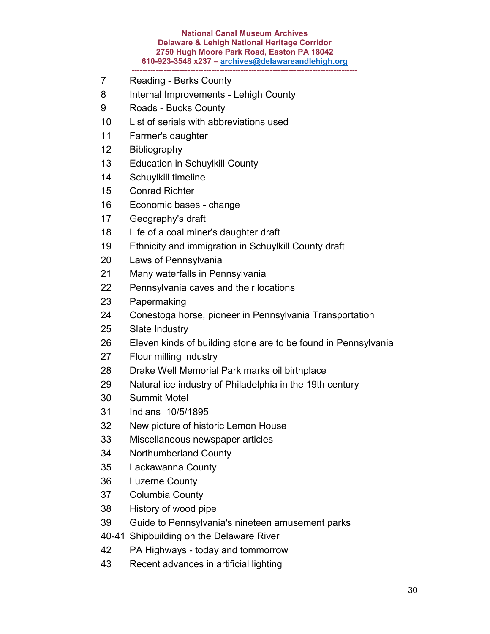- Reading Berks County
- Internal Improvements Lehigh County
- Roads Bucks County
- List of serials with abbreviations used
- Farmer's daughter
- Bibliography
- Education in Schuylkill County
- Schuylkill timeline
- Conrad Richter
- Economic bases change
- Geography's draft
- Life of a coal miner's daughter draft
- Ethnicity and immigration in Schuylkill County draft
- Laws of Pennsylvania
- Many waterfalls in Pennsylvania
- Pennsylvania caves and their locations
- Papermaking
- Conestoga horse, pioneer in Pennsylvania Transportation
- Slate Industry
- Eleven kinds of building stone are to be found in Pennsylvania
- Flour milling industry
- Drake Well Memorial Park marks oil birthplace
- Natural ice industry of Philadelphia in the 19th century
- Summit Motel
- Indians 10/5/1895
- New picture of historic Lemon House
- Miscellaneous newspaper articles
- Northumberland County
- Lackawanna County
- Luzerne County
- Columbia County
- History of wood pipe
- Guide to Pennsylvania's nineteen amusement parks
- 40-41 Shipbuilding on the Delaware River
- PA Highways today and tommorrow
- Recent advances in artificial lighting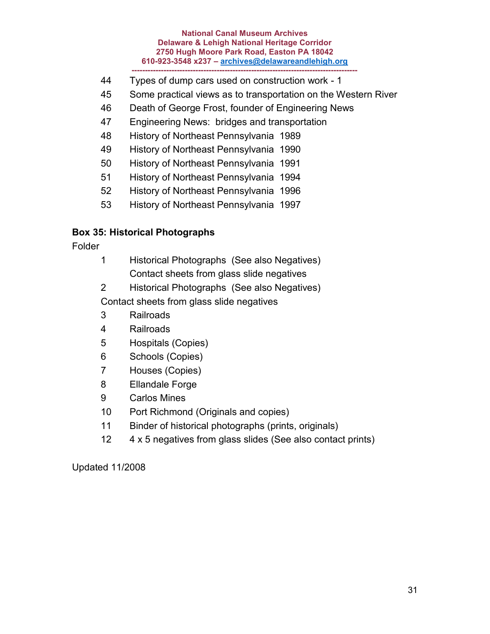- Types of dump cars used on construction work 1
- Some practical views as to transportation on the Western River
- Death of George Frost, founder of Engineering News
- Engineering News: bridges and transportation
- History of Northeast Pennsylvania 1989
- History of Northeast Pennsylvania 1990
- History of Northeast Pennsylvania 1991
- History of Northeast Pennsylvania 1994
- History of Northeast Pennsylvania 1996
- History of Northeast Pennsylvania 1997

### **Box 35: Historical Photographs**

Folder

- Historical Photographs (See also Negatives) Contact sheets from glass slide negatives
- Historical Photographs (See also Negatives)

Contact sheets from glass slide negatives

- Railroads
- Railroads
- Hospitals (Copies)
- Schools (Copies)
- Houses (Copies)
- Ellandale Forge
- Carlos Mines
- Port Richmond (Originals and copies)
- Binder of historical photographs (prints, originals)
- 4 x 5 negatives from glass slides (See also contact prints)

Updated 11/2008